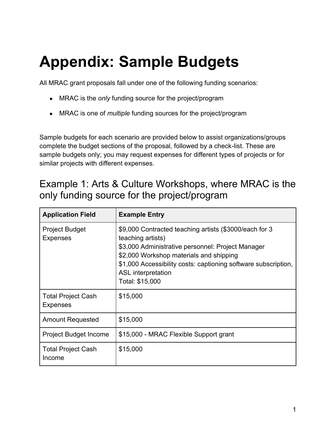# **Appendix: Sample Budgets**

All MRAC grant proposals fall under one of the following funding scenarios:

- MRAC is the *only* funding source for the project/program
- MRAC is one of *multiple* funding sources for the project/program

Sample budgets for each scenario are provided below to assist organizations/groups complete the budget sections of the proposal, followed by a check-list. These are sample budgets only; you may request expenses for different types of projects or for similar projects with different expenses.

#### Example 1: Arts & Culture Workshops, where MRAC is the only funding source for the project/program

| <b>Application Field</b>                     | <b>Example Entry</b>                                                                                                                                                                                                                                                                          |
|----------------------------------------------|-----------------------------------------------------------------------------------------------------------------------------------------------------------------------------------------------------------------------------------------------------------------------------------------------|
| <b>Project Budget</b><br><b>Expenses</b>     | \$9,000 Contracted teaching artists (\$3000/each for 3<br>teaching artists)<br>\$3,000 Administrative personnel: Project Manager<br>\$2,000 Workshop materials and shipping<br>\$1,000 Accessibility costs: captioning software subscription,<br><b>ASL</b> interpretation<br>Total: \$15,000 |
| <b>Total Project Cash</b><br><b>Expenses</b> | \$15,000                                                                                                                                                                                                                                                                                      |
| <b>Amount Requested</b>                      | \$15,000                                                                                                                                                                                                                                                                                      |
| Project Budget Income                        | \$15,000 - MRAC Flexible Support grant                                                                                                                                                                                                                                                        |
| <b>Total Project Cash</b><br>Income          | \$15,000                                                                                                                                                                                                                                                                                      |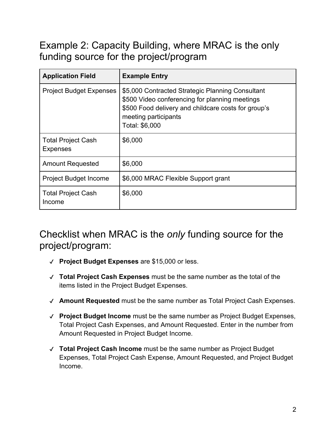# Example 2: Capacity Building, where MRAC is the only funding source for the project/program

| <b>Application Field</b>                     | <b>Example Entry</b>                                                                                                                                                                                |
|----------------------------------------------|-----------------------------------------------------------------------------------------------------------------------------------------------------------------------------------------------------|
| <b>Project Budget Expenses</b>               | \$5,000 Contracted Strategic Planning Consultant<br>\$500 Video conferencing for planning meetings<br>\$500 Food delivery and childcare costs for group's<br>meeting participants<br>Total: \$6,000 |
| <b>Total Project Cash</b><br><b>Expenses</b> | \$6,000                                                                                                                                                                                             |
| <b>Amount Requested</b>                      | \$6,000                                                                                                                                                                                             |
| <b>Project Budget Income</b>                 | \$6,000 MRAC Flexible Support grant                                                                                                                                                                 |
| <b>Total Project Cash</b><br>Income          | \$6,000                                                                                                                                                                                             |

#### Checklist when MRAC is the *only* funding source for the project/program:

- ✔ **Project Budget Expenses** are \$15,000 or less.
- ✔ **Total Project Cash Expenses** must be the same number as the total of the items listed in the Project Budget Expenses.
- ✔ **Amount Requested** must be the same number as Total Project Cash Expenses.
- ✔ **Project Budget Income** must be the same number as Project Budget Expenses, Total Project Cash Expenses, and Amount Requested. Enter in the number from Amount Requested in Project Budget Income.
- ✔ **Total Project Cash Income** must be the same number as Project Budget Expenses, Total Project Cash Expense, Amount Requested, and Project Budget Income.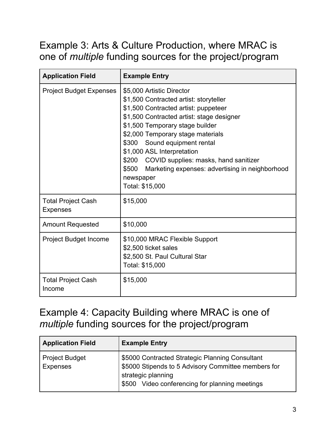## Example 3: Arts & Culture Production, where MRAC is one of *multiple* funding sources for the project/program

| <b>Application Field</b>                     | <b>Example Entry</b>                                                                                                                                                                                                                                                                                                                                                                                                                      |
|----------------------------------------------|-------------------------------------------------------------------------------------------------------------------------------------------------------------------------------------------------------------------------------------------------------------------------------------------------------------------------------------------------------------------------------------------------------------------------------------------|
| <b>Project Budget Expenses</b>               | \$5,000 Artistic Director<br>\$1,500 Contracted artist: storyteller<br>\$1,500 Contracted artist: puppeteer<br>\$1,500 Contracted artist: stage designer<br>\$1,500 Temporary stage builder<br>\$2,000 Temporary stage materials<br>\$300 Sound equipment rental<br>\$1,000 ASL Interpretation<br>\$200 COVID supplies: masks, hand sanitizer<br>\$500<br>Marketing expenses: advertising in neighborhood<br>newspaper<br>Total: \$15,000 |
| <b>Total Project Cash</b><br><b>Expenses</b> | \$15,000                                                                                                                                                                                                                                                                                                                                                                                                                                  |
| <b>Amount Requested</b>                      | \$10,000                                                                                                                                                                                                                                                                                                                                                                                                                                  |
| <b>Project Budget Income</b>                 | \$10,000 MRAC Flexible Support<br>\$2,500 ticket sales<br>\$2,500 St. Paul Cultural Star<br>Total: \$15,000                                                                                                                                                                                                                                                                                                                               |
| <b>Total Project Cash</b><br>Income          | \$15,000                                                                                                                                                                                                                                                                                                                                                                                                                                  |

# Example 4: Capacity Building where MRAC is one of *multiple* funding sources for the project/program

| <b>Application Field</b>                 | <b>Example Entry</b>                                                                                                                                                           |
|------------------------------------------|--------------------------------------------------------------------------------------------------------------------------------------------------------------------------------|
| <b>Project Budget</b><br><b>Expenses</b> | \$5000 Contracted Strategic Planning Consultant<br>\$5000 Stipends to 5 Advisory Committee members for<br>strategic planning<br>\$500 Video conferencing for planning meetings |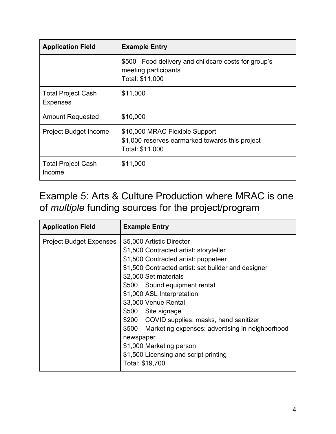| <b>Application Field</b>                     | <b>Example Entry</b>                                                                                 |
|----------------------------------------------|------------------------------------------------------------------------------------------------------|
|                                              | \$500 Food delivery and childcare costs for group's<br>meeting participants<br>Total: \$11,000       |
| <b>Total Project Cash</b><br><b>Expenses</b> | \$11,000                                                                                             |
| <b>Amount Requested</b>                      | \$10,000                                                                                             |
| <b>Project Budget Income</b>                 | \$10,000 MRAC Flexible Support<br>\$1,000 reserves earmarked towards this project<br>Total: \$11,000 |
| <b>Total Project Cash</b><br>Income          | \$11,000                                                                                             |

# Example 5: Arts & Culture Production where MRAC is one of *multiple* funding sources for the project/program

| <b>Application Field</b>       | <b>Example Entry</b>                                                                                                                                                                                                                                                                                                                                                                                                                                                                                                 |
|--------------------------------|----------------------------------------------------------------------------------------------------------------------------------------------------------------------------------------------------------------------------------------------------------------------------------------------------------------------------------------------------------------------------------------------------------------------------------------------------------------------------------------------------------------------|
| <b>Project Budget Expenses</b> | \$5,000 Artistic Director<br>\$1,500 Contracted artist: storyteller<br>\$1,500 Contracted artist: puppeteer<br>\$1,500 Contracted artist: set builder and designer<br>\$2,000 Set materials<br>\$500 Sound equipment rental<br>\$1,000 ASL Interpretation<br>\$3,000 Venue Rental<br>\$500 Site signage<br>\$200 COVID supplies: masks, hand sanitizer<br>\$500 Marketing expenses: advertising in neighborhood<br>newspaper<br>\$1,000 Marketing person<br>\$1,500 Licensing and script printing<br>Total: \$19,700 |